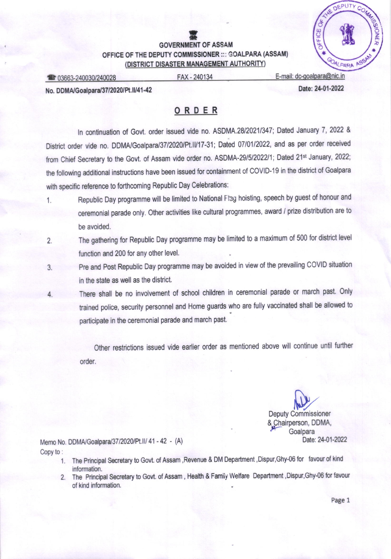## **LET**<br>GOVERNMENT OF ASSAM OFFICE OF THE DEPUTY COMMISSIONER ::: GOALPARA (ASSAM) (DISTRICT DISASTER MANAGEMENT AUTHORITY)



**industry of the Case of the Case of the Case of the Case of the Case of the Case of the Case of the Case of the Case of the Case of the Case of the Case of the Case of the Case of the Case of the Case of the Case of the C** 

No. DDMA/Goalpara/37/2020/Pt.II/41-42 Date: 24-01-2022

## ORDER

In continuation of Govt. order issued vide no. ASDMA.28/2021/347; Dated January 7, 2022 & District order vide no. DDMA/Goalpara/37/2020/Pt.II/17-31; Dated 07/01/2022, and as per order received from Chief Secretary to the Govt. of Assam vide order no. ASDMA-29/5/2022/1; Dated 21<sup>st</sup> January, 2022; the following additional instructions have been issued for containment of COVID-19 in the diskict of Goalpara with specific reference to forthcoming Republic Day Celebrations:

- 1. Republic Day programme will be limited to National Flag hoisting, speech by guest of honour and ceremonial parade only. Other activities like cultural programmes, award / prize distribution are to be avoided.
- 2. The gathering for Republic Day programme may be limited to a maximum of 500 for district level function and 200 for any other level.
- 3. pre and post Republic Day programme may be avoided in view of the prevailing COVID situation in the state as well as the district.
- 4, There shall be no involvement of school children in ceremonial parade or march past. only trained police, security personnel and Home guards who are fully vaccinated shall be allowed to participate in the ceremonial parade and march past.

Other restrictions issued vide earlier order as mentioned above will continue until further order.

> Deputy Commissioner & Chairperson, DDMA,<br>Goalpara Date: 24-01-2022

Memo No. DDMA/Goalpara/37/2020/Pt.II/ 41 - 42 - (A) Copy to :

- 1. The Principal Secretary to Govt. of Assam ,Revenue & DM Department ,Dispur,Ghy-06 for favour of kind information.
- 2. The Principal Secretary to Govt. of Assam, Health & Family Welfare Department, Dispur, Ghy-06 for favour of kind information.